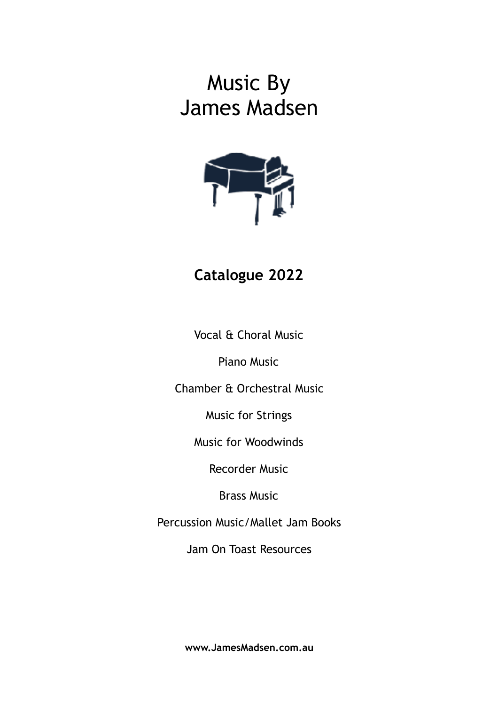# Music By James Madsen



## **Catalogue 2022**

Vocal & Choral Music

Piano Music

Chamber & Orchestral Music

Music for Strings

Music for Woodwinds

Recorder Music

Brass Music

Percussion Music/Mallet Jam Books

Jam On Toast Resources

**www.JamesMadsen.com.au**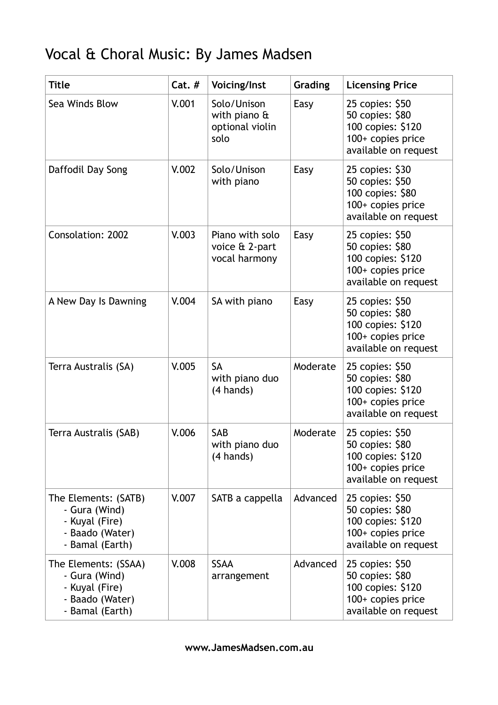# Vocal & Choral Music: By James Madsen

| <b>Title</b>                                                                                  | $Cat.$ # | Voicing/Inst                                                  | Grading  | <b>Licensing Price</b>                                                                                 |
|-----------------------------------------------------------------------------------------------|----------|---------------------------------------------------------------|----------|--------------------------------------------------------------------------------------------------------|
| Sea Winds Blow                                                                                | V.001    | Solo/Unison<br>with piano $\theta$<br>optional violin<br>solo | Easy     | 25 copies: \$50<br>50 copies: \$80<br>100 copies: \$120<br>100+ copies price<br>available on request   |
| Daffodil Day Song                                                                             | V.002    | Solo/Unison<br>with piano                                     | Easy     | 25 copies: \$30<br>50 copies: \$50<br>100 copies: \$80<br>100+ copies price<br>available on request    |
| <b>Consolation: 2002</b>                                                                      | V.003    | Piano with solo<br>voice & 2-part<br>vocal harmony            | Easy     | 25 copies: \$50<br>50 copies: \$80<br>100 copies: \$120<br>100+ copies price<br>available on request   |
| A New Day Is Dawning                                                                          | V.004    | SA with piano                                                 | Easy     | 25 copies: \$50<br>50 copies: \$80<br>100 copies: \$120<br>100+ copies price<br>available on request   |
| Terra Australis (SA)                                                                          | V.005    | <b>SA</b><br>with piano duo<br>(4 hands)                      | Moderate | 25 copies: \$50<br>50 copies: \$80<br>100 copies: \$120<br>100+ copies price<br>available on request   |
| Terra Australis (SAB)                                                                         | V.006    | SAB<br>with piano duo<br>(4 hands)                            | Moderate | 25 copies: \$50<br>50 copies: \$80<br>100 copies: \$120<br>$100+$ copies price<br>available on request |
| The Elements: (SATB)<br>- Gura (Wind)<br>- Kuyal (Fire)<br>- Baado (Water)<br>- Bamal (Earth) | V.007    | SATB a cappella                                               | Advanced | 25 copies: \$50<br>50 copies: \$80<br>100 copies: \$120<br>100+ copies price<br>available on request   |
| The Elements: (SSAA)<br>- Gura (Wind)<br>- Kuyal (Fire)<br>- Baado (Water)<br>- Bamal (Earth) | V.008    | <b>SSAA</b><br>arrangement                                    | Advanced | 25 copies: \$50<br>50 copies: \$80<br>100 copies: \$120<br>100+ copies price<br>available on request   |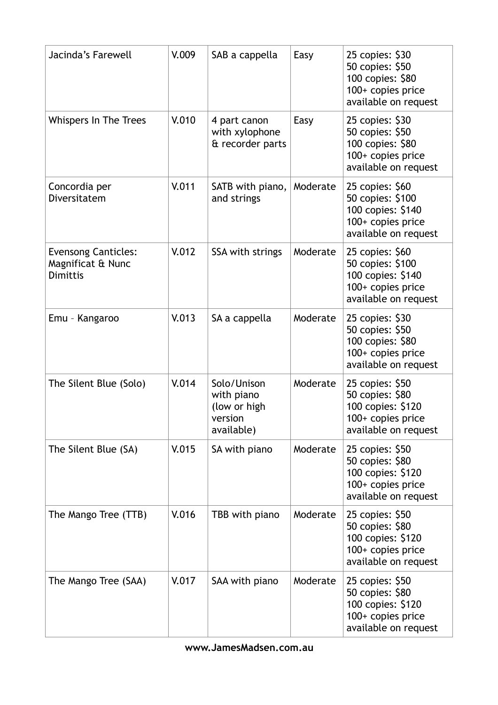| Jacinda's Farewell                                                 | V.009 | SAB a cappella                                                     | Easy     | 25 copies: \$30<br>50 copies: \$50<br>100 copies: \$80<br>100+ copies price<br>available on request    |
|--------------------------------------------------------------------|-------|--------------------------------------------------------------------|----------|--------------------------------------------------------------------------------------------------------|
| <b>Whispers In The Trees</b>                                       | V.010 | 4 part canon<br>with xylophone<br>& recorder parts                 | Easy     | 25 copies: \$30<br>50 copies: \$50<br>100 copies: \$80<br>100+ copies price<br>available on request    |
| Concordia per<br>Diversitatem                                      | V.011 | SATB with piano,<br>and strings                                    | Moderate | 25 copies: \$60<br>50 copies: \$100<br>100 copies: \$140<br>100+ copies price<br>available on request  |
| <b>Evensong Canticles:</b><br>Magnificat & Nunc<br><b>Dimittis</b> | V.012 | SSA with strings                                                   | Moderate | 25 copies: \$60<br>50 copies: \$100<br>100 copies: \$140<br>100+ copies price<br>available on request  |
| Emu - Kangaroo                                                     | V.013 | SA a cappella                                                      | Moderate | 25 copies: \$30<br>50 copies: \$50<br>100 copies: \$80<br>100+ copies price<br>available on request    |
| The Silent Blue (Solo)                                             | V.014 | Solo/Unison<br>with piano<br>(low or high<br>version<br>available) | Moderate | 25 copies: \$50<br>50 copies: \$80<br>100 copies: \$120<br>100+ copies price<br>available on request   |
| The Silent Blue (SA)                                               | V.015 | SA with piano                                                      | Moderate | 25 copies: \$50<br>50 copies: \$80<br>100 copies: \$120<br>100+ copies price<br>available on request   |
| The Mango Tree (TTB)                                               | V.016 | TBB with piano                                                     | Moderate | 25 copies: \$50<br>50 copies: \$80<br>100 copies: \$120<br>$100+$ copies price<br>available on request |
| The Mango Tree (SAA)                                               | V.017 | SAA with piano                                                     | Moderate | 25 copies: \$50<br>50 copies: \$80<br>100 copies: \$120<br>$100+$ copies price<br>available on request |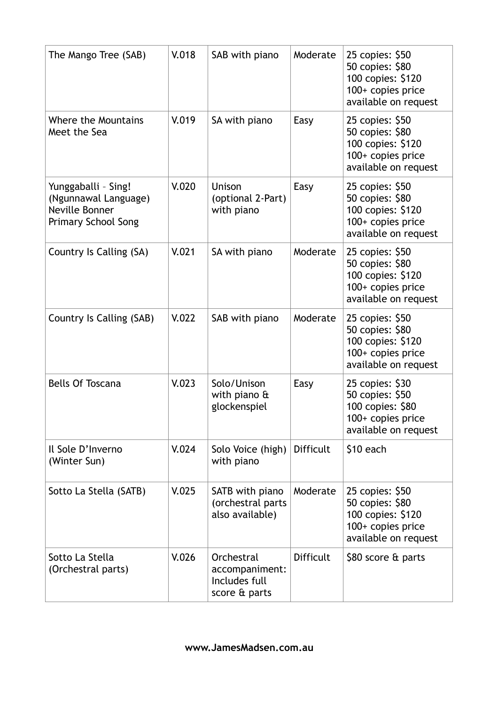| The Mango Tree (SAB)                                                                        | V.018 | SAB with piano                                                 | Moderate         | 25 copies: \$50<br>50 copies: \$80<br>100 copies: \$120<br>100+ copies price<br>available on request   |
|---------------------------------------------------------------------------------------------|-------|----------------------------------------------------------------|------------------|--------------------------------------------------------------------------------------------------------|
| Where the Mountains<br>Meet the Sea                                                         | V.019 | SA with piano                                                  | Easy             | 25 copies: \$50<br>50 copies: \$80<br>100 copies: \$120<br>100+ copies price<br>available on request   |
| Yunggaballi - Sing!<br>(Ngunnawal Language)<br>Neville Bonner<br><b>Primary School Song</b> | V.020 | <b>Unison</b><br>(optional 2-Part)<br>with piano               | Easy             | 25 copies: \$50<br>50 copies: \$80<br>100 copies: \$120<br>$100+$ copies price<br>available on request |
| Country Is Calling (SA)                                                                     | V.021 | SA with piano                                                  | Moderate         | 25 copies: \$50<br>50 copies: \$80<br>100 copies: \$120<br>100+ copies price<br>available on request   |
| Country Is Calling (SAB)                                                                    | V.022 | SAB with piano                                                 | Moderate         | 25 copies: \$50<br>50 copies: \$80<br>100 copies: \$120<br>100+ copies price<br>available on request   |
| <b>Bells Of Toscana</b>                                                                     | V.023 | Solo/Unison<br>with piano $\hat{a}$<br>glockenspiel            | Easy             | 25 copies: \$30<br>50 copies: \$50<br>100 copies: \$80<br>100+ copies price<br>available on request    |
| Il Sole D'Inverno<br>(Winter Sun)                                                           | V.024 | Solo Voice (high)<br>with piano                                | <b>Difficult</b> | $$10$ each                                                                                             |
| Sotto La Stella (SATB)                                                                      | V.025 | SATB with piano<br>(orchestral parts<br>also available)        | Moderate         | 25 copies: \$50<br>50 copies: \$80<br>100 copies: \$120<br>100+ copies price<br>available on request   |
| Sotto La Stella<br>(Orchestral parts)                                                       | V.026 | Orchestral<br>accompaniment:<br>Includes full<br>score & parts | <b>Difficult</b> | \$80 score & parts                                                                                     |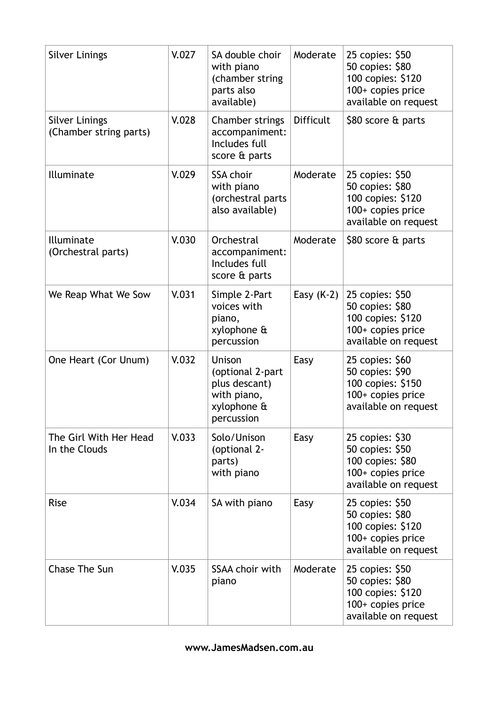| <b>Silver Linings</b>                           | V.027 | SA double choir<br>with piano<br>(chamber string<br>parts also<br>available)            | Moderate         | 25 copies: \$50<br>50 copies: \$80<br>100 copies: \$120<br>100+ copies price<br>available on request |
|-------------------------------------------------|-------|-----------------------------------------------------------------------------------------|------------------|------------------------------------------------------------------------------------------------------|
| <b>Silver Linings</b><br>(Chamber string parts) | V.028 | Chamber strings<br>accompaniment:<br>Includes full<br>score & parts                     | <b>Difficult</b> | \$80 score & parts                                                                                   |
| Illuminate                                      | V.029 | <b>SSA choir</b><br>with piano<br>(orchestral parts<br>also available)                  | Moderate         | 25 copies: \$50<br>50 copies: \$80<br>100 copies: \$120<br>100+ copies price<br>available on request |
| Illuminate<br>(Orchestral parts)                | V.030 | Orchestral<br>accompaniment:<br>Includes full<br>score & parts                          | Moderate         | \$80 score & parts                                                                                   |
| We Reap What We Sow                             | V.031 | Simple 2-Part<br>voices with<br>piano,<br>xylophone &<br>percussion                     | Easy $(K-2)$     | 25 copies: \$50<br>50 copies: \$80<br>100 copies: \$120<br>100+ copies price<br>available on request |
| One Heart (Cor Unum)                            | V.032 | Unison<br>(optional 2-part<br>plus descant)<br>with piano,<br>xylophone &<br>percussion | Easy             | 25 copies: \$60<br>50 copies: \$90<br>100 copies: \$150<br>100+ copies price<br>available on request |
| The Girl With Her Head<br>In the Clouds         | V.033 | Solo/Unison<br>(optional 2-<br>parts)<br>with piano                                     | Easy             | 25 copies: \$30<br>50 copies: \$50<br>100 copies: \$80<br>100+ copies price<br>available on request  |
| <b>Rise</b>                                     | V.034 | SA with piano                                                                           | Easy             | 25 copies: \$50<br>50 copies: \$80<br>100 copies: \$120<br>100+ copies price<br>available on request |
| <b>Chase The Sun</b>                            | V.035 | <b>SSAA choir with</b><br>piano                                                         | Moderate         | 25 copies: \$50<br>50 copies: \$80<br>100 copies: \$120<br>100+ copies price<br>available on request |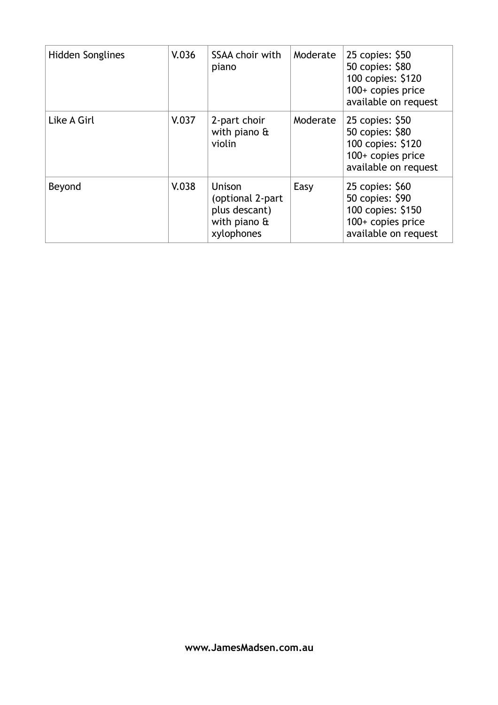| Hidden Songlines | V.036 | SSAA choir with<br>piano                                                  | Moderate | 25 copies: \$50<br>50 copies: \$80<br>100 copies: \$120<br>$100+$ copies price<br>available on request |
|------------------|-------|---------------------------------------------------------------------------|----------|--------------------------------------------------------------------------------------------------------|
| Like A Girl      | V.037 | 2-part choir<br>with piano $\hat{a}$<br>violin                            | Moderate | 25 copies: \$50<br>50 copies: \$80<br>100 copies: \$120<br>100+ copies price<br>available on request   |
| Beyond           | V.038 | Unison<br>(optional 2-part<br>plus descant)<br>with piano &<br>xylophones | Easy     | 25 copies: \$60<br>50 copies: \$90<br>100 copies: \$150<br>$100+$ copies price<br>available on request |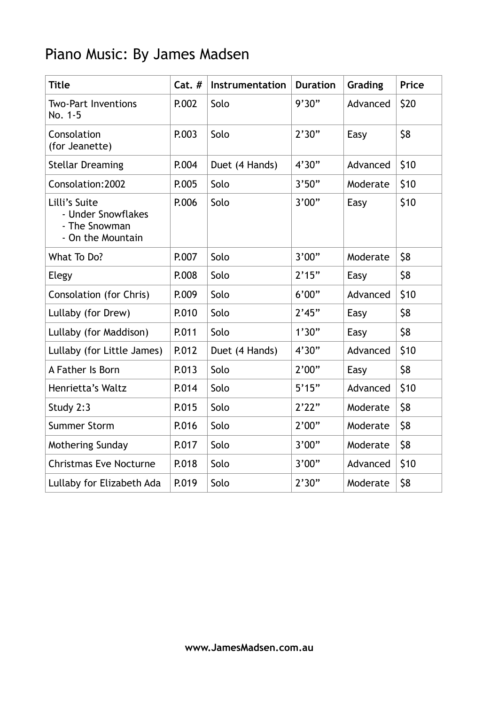# Piano Music: By James Madsen

| <b>Title</b>                                                              | $Cat.$ # | Instrumentation | <b>Duration</b> | Grading  | Price |
|---------------------------------------------------------------------------|----------|-----------------|-----------------|----------|-------|
| <b>Two-Part Inventions</b><br>No. 1-5                                     | P.002    | Solo            | 9'30"           | Advanced | \$20  |
| Consolation<br>(for Jeanette)                                             | P.003    | Solo            | 2'30"           | Easy     | \$8   |
| <b>Stellar Dreaming</b>                                                   | P.004    | Duet (4 Hands)  | 4'30"           | Advanced | \$10  |
| Consolation: 2002                                                         | P.005    | Solo            | 3'50"           | Moderate | \$10  |
| Lilli's Suite<br>- Under Snowflakes<br>- The Snowman<br>- On the Mountain | P.006    | Solo            | 3'00"           | Easy     | \$10  |
| What To Do?                                                               | P.007    | Solo            | 3'00"           | Moderate | \$8   |
| Elegy                                                                     | P.008    | Solo            | 2'15"           | Easy     | \$8   |
| Consolation (for Chris)                                                   | P.009    | Solo            | 6'00"           | Advanced | \$10  |
| Lullaby (for Drew)                                                        | P.010    | Solo            | 2'45"           | Easy     | \$8   |
| Lullaby (for Maddison)                                                    | P.011    | Solo            | 1'30"           | Easy     | \$8   |
| Lullaby (for Little James)                                                | P.012    | Duet (4 Hands)  | 4'30"           | Advanced | \$10  |
| A Father Is Born                                                          | P.013    | Solo            | 2'00"           | Easy     | \$8   |
| Henrietta's Waltz                                                         | P.014    | Solo            | 5'15"           | Advanced | \$10  |
| Study 2:3                                                                 | P.015    | Solo            | 2'22"           | Moderate | \$8   |
| <b>Summer Storm</b>                                                       | P.016    | Solo            | 2'00"           | Moderate | \$8   |
| Mothering Sunday                                                          | P.017    | Solo            | 3'00"           | Moderate | \$8   |
| <b>Christmas Eve Nocturne</b>                                             | P.018    | Solo            | 3'00"           | Advanced | \$10  |
| Lullaby for Elizabeth Ada                                                 | P.019    | Solo            | 2'30"           | Moderate | \$8   |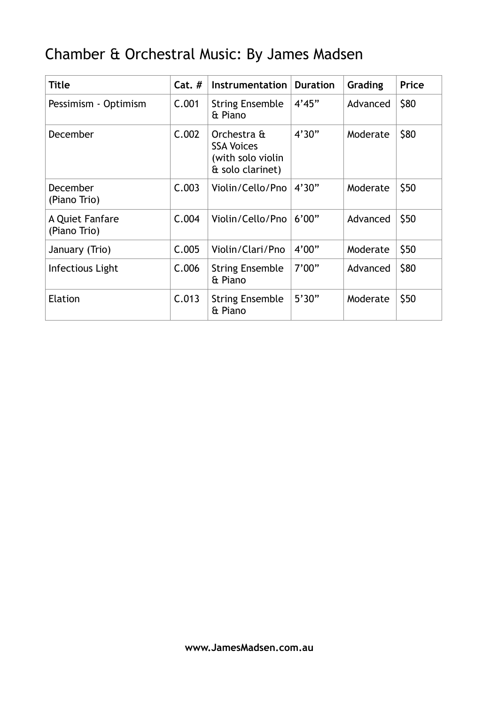# Chamber & Orchestral Music: By James Madsen

| <b>Title</b>                    | $Cat.$ # | Instrumentation                                                           | <b>Duration</b> | Grading  | Price |
|---------------------------------|----------|---------------------------------------------------------------------------|-----------------|----------|-------|
| Pessimism - Optimism            | C.001    | <b>String Ensemble</b><br>& Piano                                         | 4'45"           | Advanced | \$80  |
| December                        | C.002    | Orchestra &<br><b>SSA Voices</b><br>(with solo violin<br>& solo clarinet) | 4'30"           | Moderate | \$80  |
| December<br>(Piano Trio)        | C.003    | Violin/Cello/Pno                                                          | 4'30"           | Moderate | \$50  |
| A Quiet Fanfare<br>(Piano Trio) | C.004    | Violin/Cello/Pno                                                          | 6'00"           | Advanced | \$50  |
| January (Trio)                  | C.005    | Violin/Clari/Pno                                                          | 4'00"           | Moderate | \$50  |
| Infectious Light                | C.006    | <b>String Ensemble</b><br>& Piano                                         | 7'00"           | Advanced | \$80  |
| Elation                         | C.013    | <b>String Ensemble</b><br>& Piano                                         | 5'30"           | Moderate | \$50  |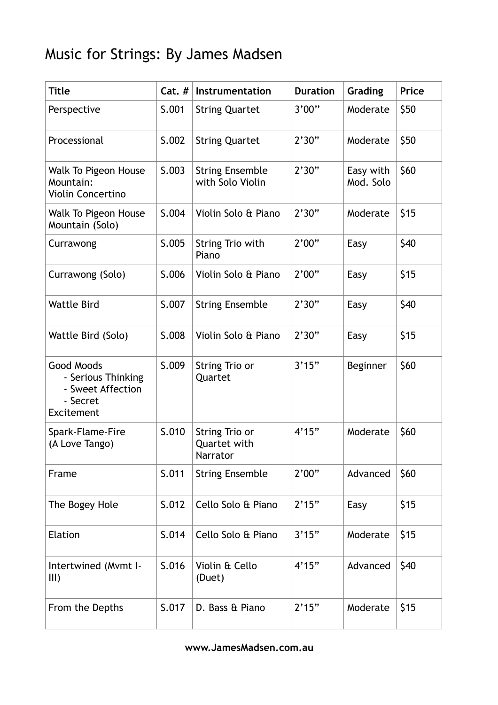# Music for Strings: By James Madsen

| <b>Title</b>                                                                    | $Cat.$ # | Instrumentation                            | <b>Duration</b> | Grading                | <b>Price</b> |
|---------------------------------------------------------------------------------|----------|--------------------------------------------|-----------------|------------------------|--------------|
| Perspective                                                                     | S.001    | <b>String Quartet</b>                      | 3'00"           | Moderate               | \$50         |
| Processional                                                                    | S.002    | <b>String Quartet</b>                      | 2'30"           | Moderate               | \$50         |
| Walk To Pigeon House<br>Mountain:<br>Violin Concertino                          | S.003    | <b>String Ensemble</b><br>with Solo Violin | 2'30"           | Easy with<br>Mod. Solo | \$60         |
| Walk To Pigeon House<br>Mountain (Solo)                                         | S.004    | Violin Solo & Piano                        | 2'30"           | Moderate               | \$15         |
| Currawong                                                                       | S.005    | String Trio with<br>Piano                  | 2'00"           | Easy                   | \$40         |
| Currawong (Solo)                                                                | S.006    | Violin Solo & Piano                        | 2'00"           | Easy                   | \$15         |
| <b>Wattle Bird</b>                                                              | S.007    | <b>String Ensemble</b>                     | 2'30"           | Easy                   | \$40         |
| Wattle Bird (Solo)                                                              | S.008    | Violin Solo & Piano                        | 2'30"           | Easy                   | \$15         |
| Good Moods<br>- Serious Thinking<br>- Sweet Affection<br>- Secret<br>Excitement | S.009    | String Trio or<br>Quartet                  | 3'15"           | <b>Beginner</b>        | \$60         |
| Spark-Flame-Fire<br>(A Love Tango)                                              | S.010    | String Trio or<br>Quartet with<br>Narrator | 4'15"           | Moderate               | \$60         |
| Frame                                                                           | S.011    | <b>String Ensemble</b>                     | 2'00"           | Advanced               | \$60         |
| The Bogey Hole                                                                  | S.012    | Cello Solo & Piano                         | 2'15"           | Easy                   | \$15         |
| Elation                                                                         | S.014    | Cello Solo & Piano                         | 3'15"           | Moderate               | \$15         |
| Intertwined (Mvmt I-<br>III)                                                    | S.016    | Violin & Cello<br>(Duet)                   | 4'15"           | Advanced               | \$40         |
| From the Depths                                                                 | S.017    | D. Bass & Piano                            | 2'15"           | Moderate               | \$15         |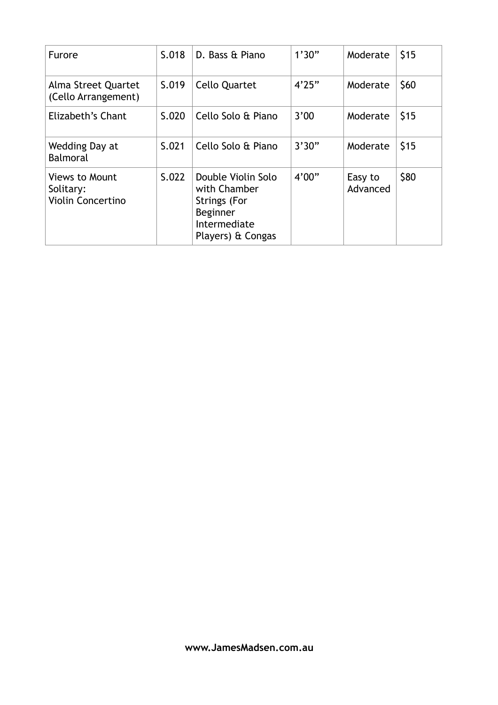| <b>Furore</b>                                                  | S.018 | D. Bass & Piano                                                                                                   | 1'30" | Moderate            | \$15 |
|----------------------------------------------------------------|-------|-------------------------------------------------------------------------------------------------------------------|-------|---------------------|------|
| Alma Street Quartet<br>(Cello Arrangement)                     | S.019 | Cello Quartet                                                                                                     | 4'25" | Moderate            | \$60 |
| Elizabeth's Chant                                              | S.020 | Cello Solo & Piano                                                                                                | 3'00  | Moderate            | \$15 |
| Wedding Day at<br>Balmoral                                     | S.021 | Cello Solo & Piano                                                                                                | 3'30" | Moderate            | \$15 |
| <b>Views to Mount</b><br>Solitary:<br><b>Violin Concertino</b> | S.022 | Double Violin Solo<br>with Chamber<br><b>Strings (For</b><br><b>Beginner</b><br>Intermediate<br>Players) & Congas | 4'00" | Easy to<br>Advanced | \$80 |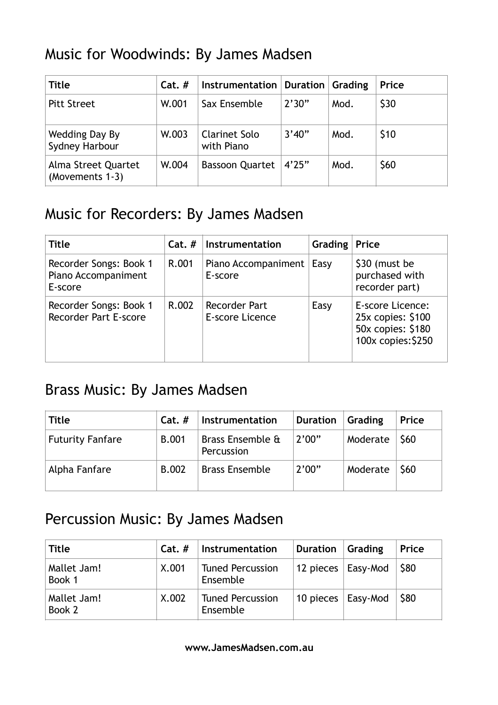## Music for Woodwinds: By James Madsen

| <b>Title</b>                           | $Cat.$ # | Instrumentation   Duration         |        | Grading | Price |
|----------------------------------------|----------|------------------------------------|--------|---------|-------|
| <b>Pitt Street</b>                     | W.001    | Sax Ensemble                       | 2'30"  | Mod.    | \$30  |
| Wedding Day By<br>Sydney Harbour       | W.003    | <b>Clarinet Solo</b><br>with Piano | 3'40'' | Mod.    | \$10  |
| Alma Street Quartet<br>(Movements 1-3) | W.004    | <b>Bassoon Quartet</b>             | 4'25"  | Mod.    | \$60  |

#### Music for Recorders: By James Madsen

| <b>Title</b>                                             | $Cat.$ # | Instrumentation                         | Grading $ Price$ |                                                                                  |
|----------------------------------------------------------|----------|-----------------------------------------|------------------|----------------------------------------------------------------------------------|
| Recorder Songs: Book 1<br>Piano Accompaniment<br>E-score | R.001    | Piano Accompaniment<br>E-score          | Easy             | \$30 (must be<br>purchased with<br>recorder part)                                |
| Recorder Songs: Book 1<br><b>Recorder Part E-score</b>   | R.002    | <b>Recorder Part</b><br>E-score Licence | Easy             | E-score Licence:<br>25x copies: \$100<br>50x copies: \$180<br>100x copies: \$250 |

#### Brass Music: By James Madsen

| Title                   | $Cat.$ #     | Instrumentation                | <b>Duration</b> | Grading  | Price      |
|-------------------------|--------------|--------------------------------|-----------------|----------|------------|
| <b>Futurity Fanfare</b> | <b>B.001</b> | Brass Ensemble &<br>Percussion | 2'00"           | Moderate | <b>S60</b> |
| Alpha Fanfare           | <b>B.002</b> | <b>Brass Ensemble</b>          | 2'00"           | Moderate | \$60       |

#### Percussion Music: By James Madsen

| Title                 | $Cat.$ # | Instrumentation                     | <b>Duration</b>            | Grading | Price |
|-----------------------|----------|-------------------------------------|----------------------------|---------|-------|
| Mallet Jam!<br>Book 1 | X.001    | <b>Tuned Percussion</b><br>Ensemble | 12 pieces   Easy-Mod       |         | \$80  |
| Mallet Jam!<br>Book 2 | X.002    | <b>Tuned Percussion</b><br>Ensemble | 10 pieces $\vert$ Easy-Mod |         | \$80  |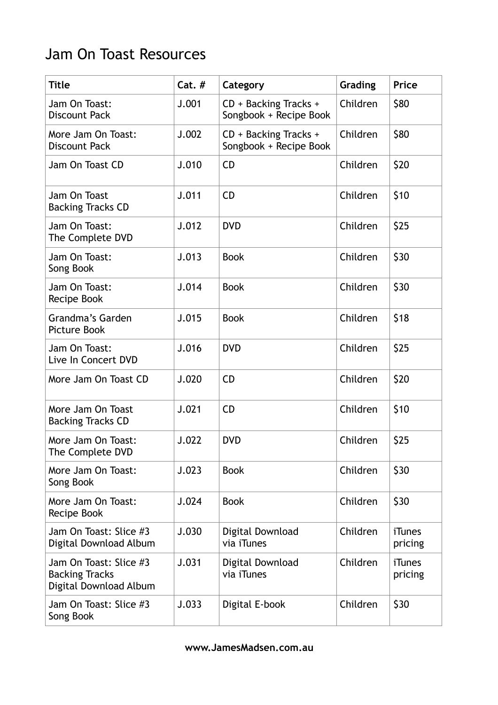## Jam On Toast Resources

| <b>Title</b>                                                              | $Cat.$ # | Category                                        | Grading  | Price                    |
|---------------------------------------------------------------------------|----------|-------------------------------------------------|----------|--------------------------|
| Jam On Toast:<br><b>Discount Pack</b>                                     | J.001    | CD + Backing Tracks +<br>Songbook + Recipe Book | Children | \$80                     |
| More Jam On Toast:<br><b>Discount Pack</b>                                | J.002    | CD + Backing Tracks +<br>Songbook + Recipe Book | Children | \$80                     |
| Jam On Toast CD                                                           | J.010    | <b>CD</b>                                       | Children | \$20                     |
| Jam On Toast<br><b>Backing Tracks CD</b>                                  | J.011    | <b>CD</b>                                       | Children | \$10                     |
| Jam On Toast:<br>The Complete DVD                                         | J.012    | <b>DVD</b>                                      | Children | \$25                     |
| Jam On Toast:<br>Song Book                                                | J.013    | <b>Book</b>                                     | Children | \$30                     |
| Jam On Toast:<br>Recipe Book                                              | J.014    | <b>Book</b>                                     | Children | \$30                     |
| Grandma's Garden<br><b>Picture Book</b>                                   | J.015    | <b>Book</b>                                     | Children | \$18                     |
| Jam On Toast:<br>Live In Concert DVD                                      | J.016    | <b>DVD</b>                                      | Children | \$25                     |
| More Jam On Toast CD                                                      | J.020    | <b>CD</b>                                       | Children | \$20                     |
| More Jam On Toast<br><b>Backing Tracks CD</b>                             | J.021    | <b>CD</b>                                       | Children | \$10                     |
| More Jam On Toast:<br>The Complete DVD                                    | J.022    | <b>DVD</b>                                      | Children | \$25                     |
| More Jam On Toast:<br>Song Book                                           | J.023    | <b>Book</b>                                     | Children | \$30                     |
| More Jam On Toast:<br>Recipe Book                                         | J.024    | <b>Book</b>                                     | Children | \$30                     |
| Jam On Toast: Slice #3<br>Digital Download Album                          | J.030    | Digital Download<br>via iTunes                  | Children | <b>iTunes</b><br>pricing |
| Jam On Toast: Slice #3<br><b>Backing Tracks</b><br>Digital Download Album | J.031    | Digital Download<br>via <i>i</i> Tunes          | Children | <b>iTunes</b><br>pricing |
| Jam On Toast: Slice #3<br>Song Book                                       | J.033    | Digital E-book                                  | Children | \$30                     |